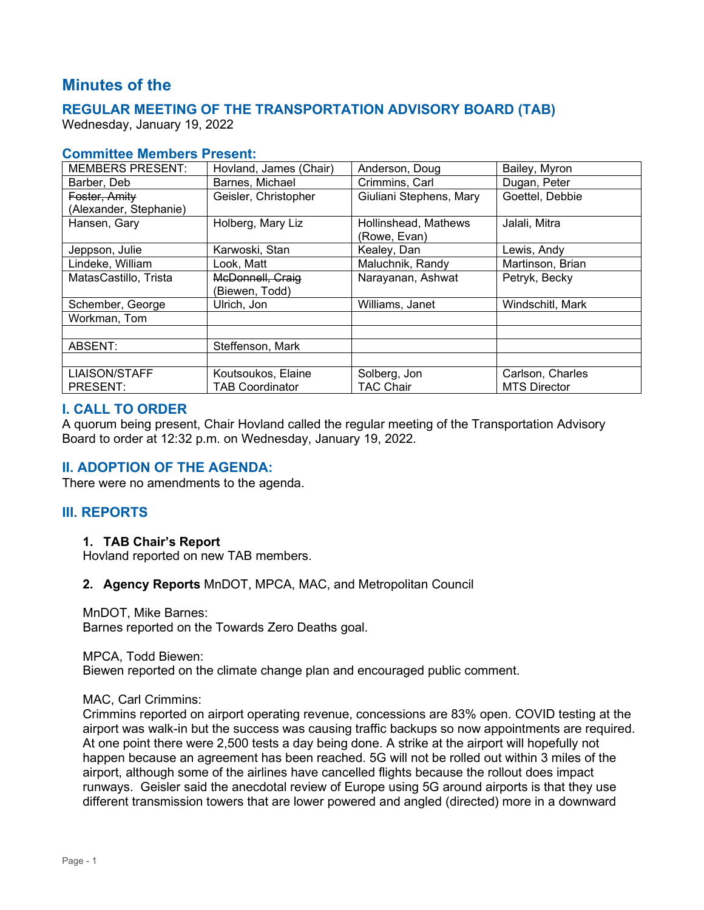# **Minutes of the**

# **REGULAR MEETING OF THE TRANSPORTATION ADVISORY BOARD (TAB)**

Wednesday, January 19, 2022

#### **Committee Members Present:**

| <b>MEMBERS PRESENT:</b> | Hovland, James (Chair) | Anderson, Doug          | Bailey, Myron       |
|-------------------------|------------------------|-------------------------|---------------------|
| Barber, Deb             | Barnes, Michael        | Crimmins, Carl          | Dugan, Peter        |
| Foster, Amity           | Geisler, Christopher   | Giuliani Stephens, Mary | Goettel, Debbie     |
| (Alexander, Stephanie)  |                        |                         |                     |
| Hansen, Gary            | Holberg, Mary Liz      | Hollinshead, Mathews    | Jalali, Mitra       |
|                         |                        | (Rowe, Evan)            |                     |
| Jeppson, Julie          | Karwoski, Stan         | Kealey, Dan             | Lewis, Andy         |
| Lindeke, William        | Look, Matt             | Maluchnik, Randy        | Martinson, Brian    |
| MatasCastillo, Trista   | McDonnell, Craig       | Narayanan, Ashwat       | Petryk, Becky       |
|                         | (Biewen, Todd)         |                         |                     |
| Schember, George        | Ulrich, Jon            | Williams, Janet         | Windschitl, Mark    |
| Workman, Tom            |                        |                         |                     |
|                         |                        |                         |                     |
| ABSENT:                 | Steffenson, Mark       |                         |                     |
|                         |                        |                         |                     |
| <b>LIAISON/STAFF</b>    | Koutsoukos, Elaine     | Solberg, Jon            | Carlson, Charles    |
| PRESENT:                | <b>TAB Coordinator</b> | <b>TAC Chair</b>        | <b>MTS Director</b> |

## **I. CALL TO ORDER**

A quorum being present, Chair Hovland called the regular meeting of the Transportation Advisory Board to order at 12:32 p.m. on Wednesday, January 19, 2022.

## **II. ADOPTION OF THE AGENDA:**

There were no amendments to the agenda.

## **III. REPORTS**

#### **1. TAB Chair's Report**

Hovland reported on new TAB members.

#### **2. Agency Reports** MnDOT, MPCA, MAC, and Metropolitan Council

MnDOT, Mike Barnes: Barnes reported on the Towards Zero Deaths goal.

MPCA, Todd Biewen:

Biewen reported on the climate change plan and encouraged public comment.

#### MAC, Carl Crimmins:

Crimmins reported on airport operating revenue, concessions are 83% open. COVID testing at the airport was walk-in but the success was causing traffic backups so now appointments are required. At one point there were 2,500 tests a day being done. A strike at the airport will hopefully not happen because an agreement has been reached. 5G will not be rolled out within 3 miles of the airport, although some of the airlines have cancelled flights because the rollout does impact runways. Geisler said the anecdotal review of Europe using 5G around airports is that they use different transmission towers that are lower powered and angled (directed) more in a downward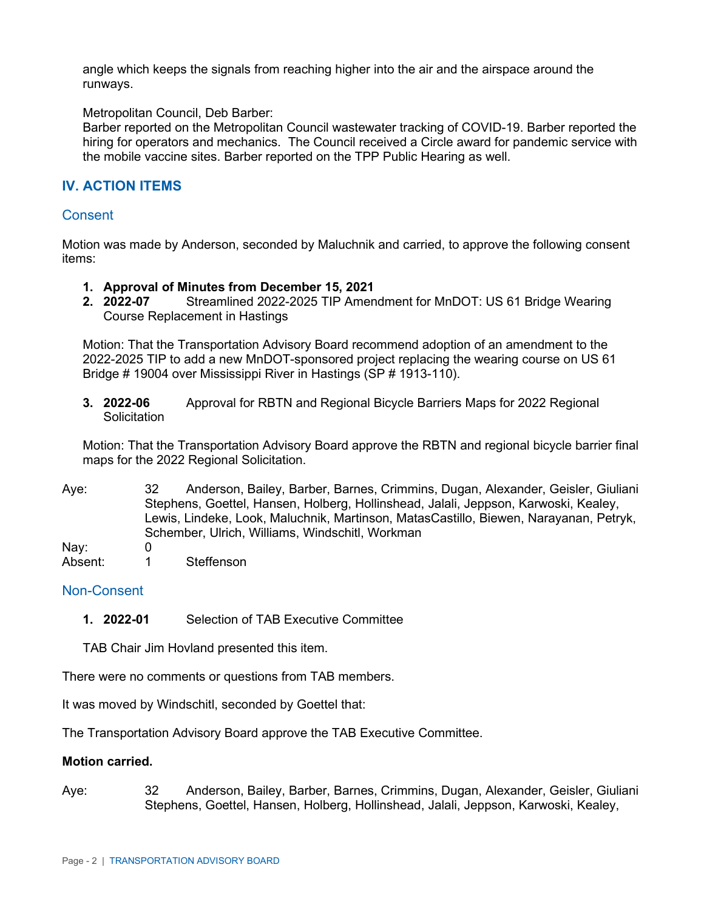angle which keeps the signals from reaching higher into the air and the airspace around the runways.

#### Metropolitan Council, Deb Barber:

Barber reported on the Metropolitan Council wastewater tracking of COVID-19. Barber reported the hiring for operators and mechanics. The Council received a Circle award for pandemic service with the mobile vaccine sites. Barber reported on the TPP Public Hearing as well.

## **IV. ACTION ITEMS**

#### **Consent**

Motion was made by Anderson, seconded by Maluchnik and carried, to approve the following consent items:

- **1. Approval of Minutes from December 15, 2021**
- **2. 2022-07** Streamlined 2022-2025 TIP Amendment for MnDOT: US 61 Bridge Wearing Course Replacement in Hastings

Motion: That the Transportation Advisory Board recommend adoption of an amendment to the 2022-2025 TIP to add a new MnDOT-sponsored project replacing the wearing course on US 61 Bridge # 19004 over Mississippi River in Hastings (SP # 1913-110).

**3. 2022-06** Approval for RBTN and Regional Bicycle Barriers Maps for 2022 Regional **Solicitation** 

Motion: That the Transportation Advisory Board approve the RBTN and regional bicycle barrier final maps for the 2022 Regional Solicitation.

Aye: 32 Anderson, Bailey, Barber, Barnes, Crimmins, Dugan, Alexander, Geisler, Giuliani Stephens, Goettel, Hansen, Holberg, Hollinshead, Jalali, Jeppson, Karwoski, Kealey, Lewis, Lindeke, Look, Maluchnik, Martinson, MatasCastillo, Biewen, Narayanan, Petryk, Schember, Ulrich, Williams, Windschitl, Workman

Nav: 0

Absent: 1 Steffenson

## Non-Consent

**1. 2022-01** Selection of TAB Executive Committee

TAB Chair Jim Hovland presented this item.

There were no comments or questions from TAB members.

It was moved by Windschitl, seconded by Goettel that:

The Transportation Advisory Board approve the TAB Executive Committee.

#### **Motion carried.**

Aye: 32 Anderson, Bailey, Barber, Barnes, Crimmins, Dugan, Alexander, Geisler, Giuliani Stephens, Goettel, Hansen, Holberg, Hollinshead, Jalali, Jeppson, Karwoski, Kealey,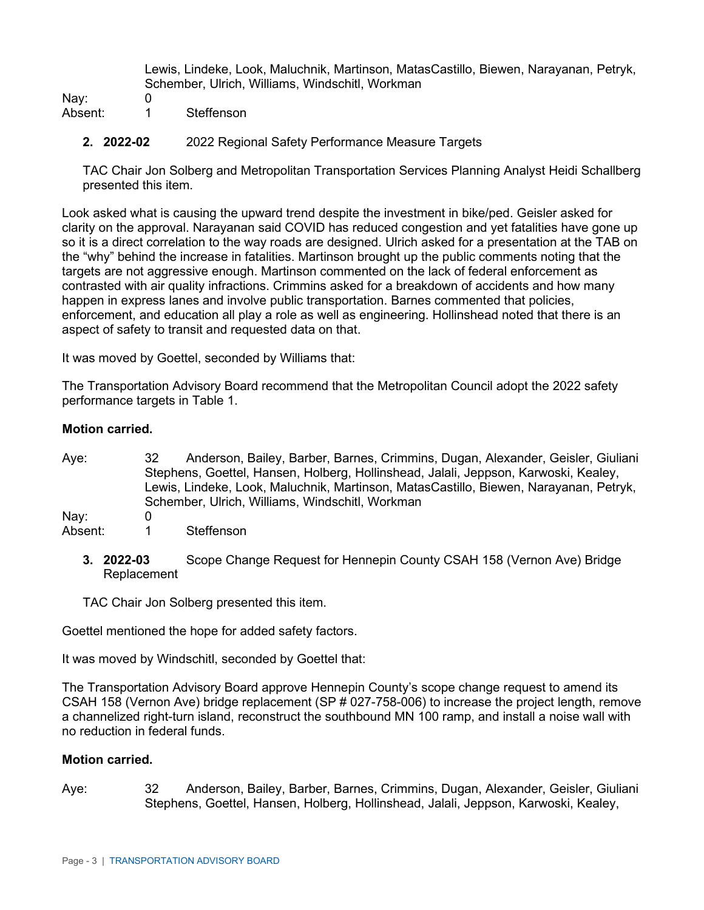Lewis, Lindeke, Look, Maluchnik, Martinson, MatasCastillo, Biewen, Narayanan, Petryk, Schember, Ulrich, Williams, Windschitl, Workman

Nay: 0<br>Absent 1

- Steffenson
- **2. 2022-02** 2022 Regional Safety Performance Measure Targets

TAC Chair Jon Solberg and Metropolitan Transportation Services Planning Analyst Heidi Schallberg presented this item.

Look asked what is causing the upward trend despite the investment in bike/ped. Geisler asked for clarity on the approval. Narayanan said COVID has reduced congestion and yet fatalities have gone up so it is a direct correlation to the way roads are designed. Ulrich asked for a presentation at the TAB on the "why" behind the increase in fatalities. Martinson brought up the public comments noting that the targets are not aggressive enough. Martinson commented on the lack of federal enforcement as contrasted with air quality infractions. Crimmins asked for a breakdown of accidents and how many happen in express lanes and involve public transportation. Barnes commented that policies, enforcement, and education all play a role as well as engineering. Hollinshead noted that there is an aspect of safety to transit and requested data on that.

It was moved by Goettel, seconded by Williams that:

The Transportation Advisory Board recommend that the Metropolitan Council adopt the 2022 safety performance targets in Table 1.

#### **Motion carried.**

- Aye: 32 Anderson, Bailey, Barber, Barnes, Crimmins, Dugan, Alexander, Geisler, Giuliani Stephens, Goettel, Hansen, Holberg, Hollinshead, Jalali, Jeppson, Karwoski, Kealey, Lewis, Lindeke, Look, Maluchnik, Martinson, MatasCastillo, Biewen, Narayanan, Petryk, Schember, Ulrich, Williams, Windschitl, Workman Nay: 0 Absent: 1 Steffenson
	- **3. 2022-03** Scope Change Request for Hennepin County CSAH 158 (Vernon Ave) Bridge Replacement

TAC Chair Jon Solberg presented this item.

Goettel mentioned the hope for added safety factors.

It was moved by Windschitl, seconded by Goettel that:

The Transportation Advisory Board approve Hennepin County's scope change request to amend its CSAH 158 (Vernon Ave) bridge replacement (SP # 027-758-006) to increase the project length, remove a channelized right-turn island, reconstruct the southbound MN 100 ramp, and install a noise wall with no reduction in federal funds.

## **Motion carried.**

Aye: 32 Anderson, Bailey, Barber, Barnes, Crimmins, Dugan, Alexander, Geisler, Giuliani Stephens, Goettel, Hansen, Holberg, Hollinshead, Jalali, Jeppson, Karwoski, Kealey,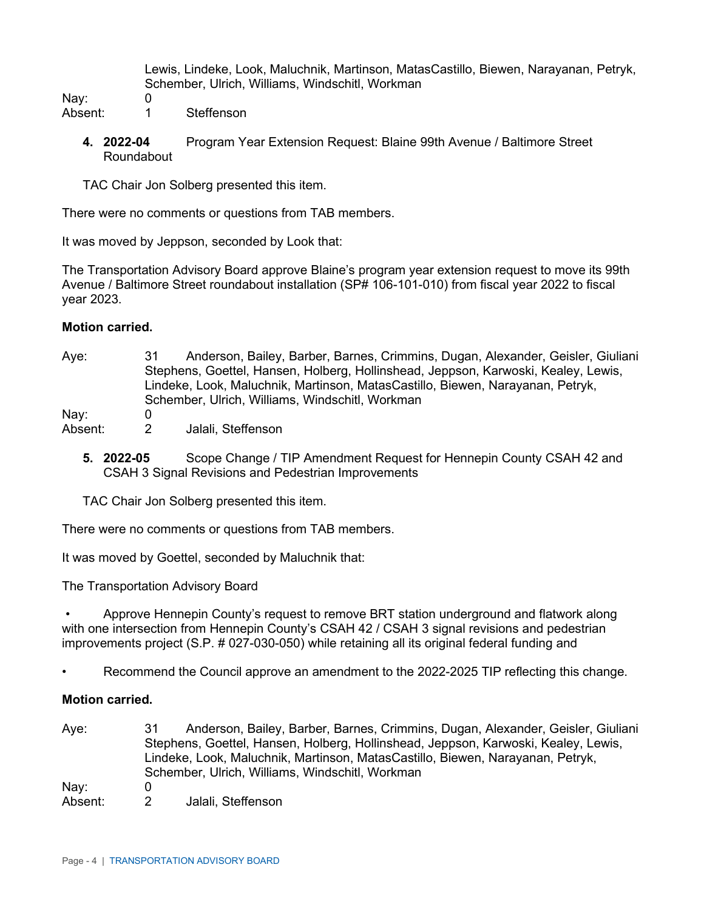Lewis, Lindeke, Look, Maluchnik, Martinson, MatasCastillo, Biewen, Narayanan, Petryk, Schember, Ulrich, Williams, Windschitl, Workman

Nay: 0<br>Absent: 1

- Steffenson
- **4. 2022-04** Program Year Extension Request: Blaine 99th Avenue / Baltimore Street Roundabout

TAC Chair Jon Solberg presented this item.

There were no comments or questions from TAB members.

It was moved by Jeppson, seconded by Look that:

The Transportation Advisory Board approve Blaine's program year extension request to move its 99th Avenue / Baltimore Street roundabout installation (SP# 106-101-010) from fiscal year 2022 to fiscal year 2023.

#### **Motion carried.**

Aye: 31 Anderson, Bailey, Barber, Barnes, Crimmins, Dugan, Alexander, Geisler, Giuliani Stephens, Goettel, Hansen, Holberg, Hollinshead, Jeppson, Karwoski, Kealey, Lewis, Lindeke, Look, Maluchnik, Martinson, MatasCastillo, Biewen, Narayanan, Petryk, Schember, Ulrich, Williams, Windschitl, Workman

Nay: 0

- Absent: 2 Jalali, Steffenson
	- **5. 2022-05** Scope Change / TIP Amendment Request for Hennepin County CSAH 42 and CSAH 3 Signal Revisions and Pedestrian Improvements

TAC Chair Jon Solberg presented this item.

There were no comments or questions from TAB members.

It was moved by Goettel, seconded by Maluchnik that:

The Transportation Advisory Board

• Approve Hennepin County's request to remove BRT station underground and flatwork along with one intersection from Hennepin County's CSAH 42 / CSAH 3 signal revisions and pedestrian improvements project (S.P. # 027-030-050) while retaining all its original federal funding and

• Recommend the Council approve an amendment to the 2022-2025 TIP reflecting this change.

## **Motion carried.**

Aye: 31 Anderson, Bailey, Barber, Barnes, Crimmins, Dugan, Alexander, Geisler, Giuliani Stephens, Goettel, Hansen, Holberg, Hollinshead, Jeppson, Karwoski, Kealey, Lewis, Lindeke, Look, Maluchnik, Martinson, MatasCastillo, Biewen, Narayanan, Petryk, Schember, Ulrich, Williams, Windschitl, Workman Nav: 0 Absent: 2 Jalali, Steffenson